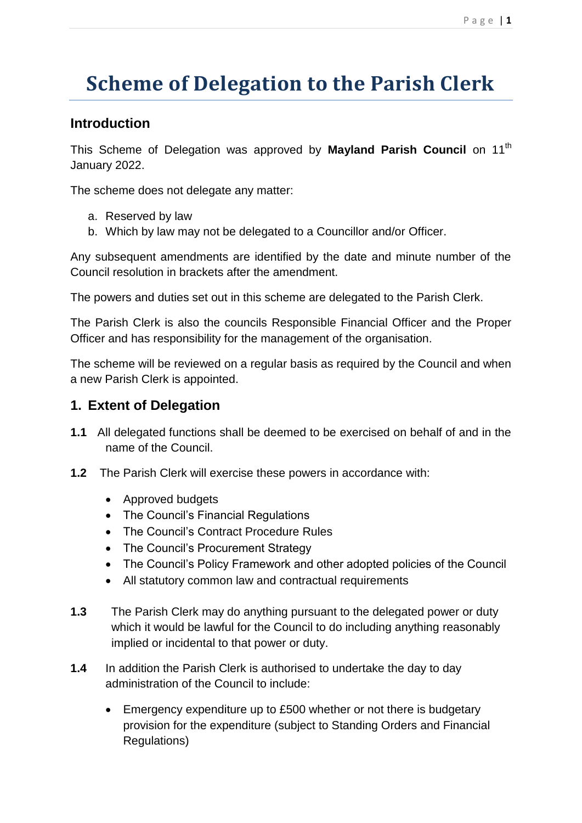# **Scheme of Delegation to the Parish Clerk**

## **Introduction**

This Scheme of Delegation was approved by **Mayland Parish Council** on 11th January 2022.

The scheme does not delegate any matter:

- a. Reserved by law
- b. Which by law may not be delegated to a Councillor and/or Officer.

Any subsequent amendments are identified by the date and minute number of the Council resolution in brackets after the amendment.

The powers and duties set out in this scheme are delegated to the Parish Clerk.

The Parish Clerk is also the councils Responsible Financial Officer and the Proper Officer and has responsibility for the management of the organisation.

The scheme will be reviewed on a regular basis as required by the Council and when a new Parish Clerk is appointed.

### **1. Extent of Delegation**

- **1.1** All delegated functions shall be deemed to be exercised on behalf of and in the name of the Council.
- **1.2** The Parish Clerk will exercise these powers in accordance with:
	- Approved budgets
	- The Council's Financial Regulations
	- The Council's Contract Procedure Rules
	- The Council's Procurement Strategy
	- The Council's Policy Framework and other adopted policies of the Council
	- All statutory common law and contractual requirements
- **1.3** The Parish Clerk may do anything pursuant to the delegated power or duty which it would be lawful for the Council to do including anything reasonably implied or incidental to that power or duty.
- **1.4** In addition the Parish Clerk is authorised to undertake the day to day administration of the Council to include:
	- Emergency expenditure up to £500 whether or not there is budgetary provision for the expenditure (subject to Standing Orders and Financial Regulations)